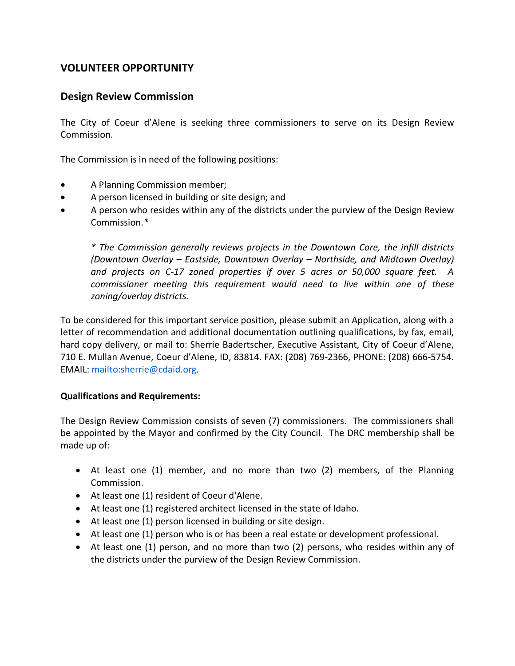# **VOLUNTEER OPPORTUNITY**

## **Design Review Commission**

The City of Coeur d'Alene is seeking three commissioners to serve on its Design Review Commission.

The Commission is in need of the following positions:

- A Planning Commission member;
- A person licensed in building or site design; and
- A person who resides within any of the districts under the purview of the Design Review Commission.*\**

*\* The Commission generally reviews projects in the Downtown Core, the infill districts (Downtown Overlay – Eastside, Downtown Overlay – Northside, and Midtown Overlay) and projects on C-17 zoned properties if over 5 acres or 50,000 square feet. A commissioner meeting this requirement would need to live within one of these zoning/overlay districts.* 

To be considered for this important service position, please submit an Application, along with a letter of recommendation and additional documentation outlining qualifications, by fax, email, hard copy delivery, or mail to: Sherrie Badertscher, Executive Assistant, City of Coeur d'Alene, 710 E. Mullan Avenue, Coeur d'Alene, ID, 83814. FAX: (208) 769-2366, PHONE: (208) 666-5754. EMAIL: [mailto:sherrie@cdaid.org.](mailto:sherrie@cdaid.org)

## **Qualifications and Requirements:**

The Design Review Commission consists of seven (7) commissioners. The commissioners shall be appointed by the Mayor and confirmed by the City Council. The DRC membership shall be made up of:

- At least one (1) member, and no more than two (2) members, of the Planning Commission.
- At least one (1) resident of Coeur d'Alene.
- At least one (1) registered architect licensed in the state of Idaho.
- At least one (1) person licensed in building or site design.
- At least one (1) person who is or has been a real estate or development professional.
- At least one (1) person, and no more than two (2) persons, who resides within any of the districts under the purview of the Design Review Commission.